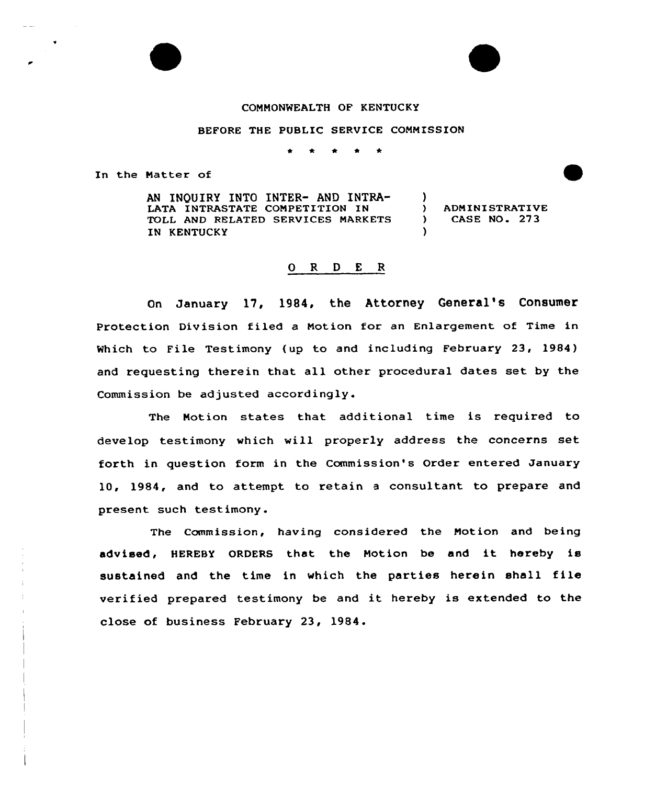## COMMONWEALTH OF KENTUCKY

## BEFORE THE PUBLIC SERVICE COMMISSION

In the Matter of

AN INQUIRY INTO INTER- AND INTRA-LATA INTRASTATE COMPETITION IN TOLL AND RELATED SERVICES MARKETS IN KENTUCKY

) ADMINISTRATIVE ) CASE NO. 273

)<br>)

)

## 0 <sup>R</sup> <sup>D</sup> <sup>E</sup> <sup>R</sup>

On January 17, 1984, the Attorney General's Consumer Protection Division filed a Motion for an Enlargement of Time in Which to File Testimony (up to and including February 23, 1984) and requesting therein that all other procedural dates set by the Commission be adjusted accordingly.

The Motion states that. additional time is required to develop testimony which will properly address the concerns set forth in question form in the Commission's Order entered January 10, 1984, and to attempt to retain a consultant to prepare and present such testimony.

The Commission, having considered the Motion and being advised, HEREBY ORDERS that the Motion be and it hereby is sustained and the time in which the parties herein shall file verified prepared testimony be and it hereby is extended to the close of business February 23, 1984.